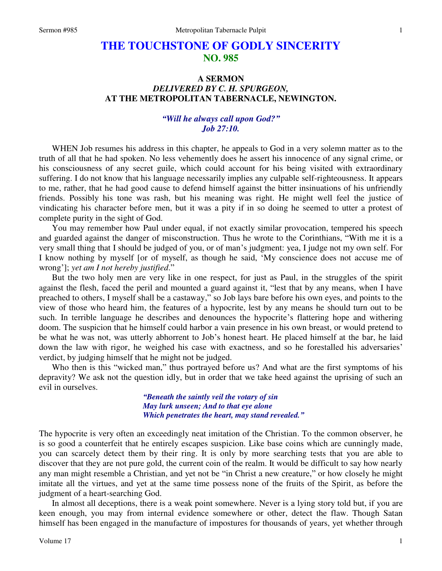# **THE TOUCHSTONE OF GODLY SINCERITY NO. 985**

## **A SERMON**  *DELIVERED BY C. H. SPURGEON,*  **AT THE METROPOLITAN TABERNACLE, NEWINGTON.**

### *"Will he always call upon God?" Job 27:10.*

WHEN Job resumes his address in this chapter, he appeals to God in a very solemn matter as to the truth of all that he had spoken. No less vehemently does he assert his innocence of any signal crime, or his consciousness of any secret guile, which could account for his being visited with extraordinary suffering. I do not know that his language necessarily implies any culpable self-righteousness. It appears to me, rather, that he had good cause to defend himself against the bitter insinuations of his unfriendly friends. Possibly his tone was rash, but his meaning was right. He might well feel the justice of vindicating his character before men, but it was a pity if in so doing he seemed to utter a protest of complete purity in the sight of God.

You may remember how Paul under equal, if not exactly similar provocation, tempered his speech and guarded against the danger of misconstruction. Thus he wrote to the Corinthians, "With me it is a very small thing that I should be judged of you, or of man's judgment: yea, I judge not my own self. For I know nothing by myself [or of myself, as though he said, 'My conscience does not accuse me of wrong']; *yet am I not hereby justified*."

But the two holy men are very like in one respect, for just as Paul, in the struggles of the spirit against the flesh, faced the peril and mounted a guard against it, "lest that by any means, when I have preached to others, I myself shall be a castaway," so Job lays bare before his own eyes, and points to the view of those who heard him, the features of a hypocrite, lest by any means he should turn out to be such. In terrible language he describes and denounces the hypocrite's flattering hope and withering doom. The suspicion that he himself could harbor a vain presence in his own breast, or would pretend to be what he was not, was utterly abhorrent to Job's honest heart. He placed himself at the bar, he laid down the law with rigor, he weighed his case with exactness, and so he forestalled his adversaries' verdict, by judging himself that he might not be judged.

Who then is this "wicked man," thus portrayed before us? And what are the first symptoms of his depravity? We ask not the question idly, but in order that we take heed against the uprising of such an evil in ourselves.

> *"Beneath the saintly veil the votary of sin May lurk unseen; And to that eye alone Which penetrates the heart, may stand revealed."*

The hypocrite is very often an exceedingly neat imitation of the Christian. To the common observer, he is so good a counterfeit that he entirely escapes suspicion. Like base coins which are cunningly made, you can scarcely detect them by their ring. It is only by more searching tests that you are able to discover that they are not pure gold, the current coin of the realm. It would be difficult to say how nearly any man might resemble a Christian, and yet not be "in Christ a new creature," or how closely he might imitate all the virtues, and yet at the same time possess none of the fruits of the Spirit, as before the judgment of a heart-searching God.

In almost all deceptions, there is a weak point somewhere. Never is a lying story told but, if you are keen enough, you may from internal evidence somewhere or other, detect the flaw. Though Satan himself has been engaged in the manufacture of impostures for thousands of years, yet whether through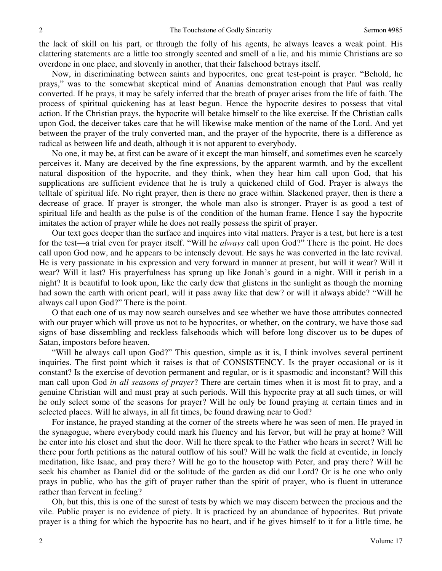the lack of skill on his part, or through the folly of his agents, he always leaves a weak point. His clattering statements are a little too strongly scented and smell of a lie, and his mimic Christians are so overdone in one place, and slovenly in another, that their falsehood betrays itself.

Now, in discriminating between saints and hypocrites, one great test-point is prayer. "Behold, he prays," was to the somewhat skeptical mind of Ananias demonstration enough that Paul was really converted. If he prays, it may be safely inferred that the breath of prayer arises from the life of faith. The process of spiritual quickening has at least begun. Hence the hypocrite desires to possess that vital action. If the Christian prays, the hypocrite will betake himself to the like exercise. If the Christian calls upon God, the deceiver takes care that he will likewise make mention of the name of the Lord. And yet between the prayer of the truly converted man, and the prayer of the hypocrite, there is a difference as radical as between life and death, although it is not apparent to everybody.

No one, it may be, at first can be aware of it except the man himself, and sometimes even he scarcely perceives it. Many are deceived by the fine expressions, by the apparent warmth, and by the excellent natural disposition of the hypocrite, and they think, when they hear him call upon God, that his supplications are sufficient evidence that he is truly a quickened child of God. Prayer is always the telltale of spiritual life. No right prayer, then is there no grace within. Slackened prayer, then is there a decrease of grace. If prayer is stronger, the whole man also is stronger. Prayer is as good a test of spiritual life and health as the pulse is of the condition of the human frame. Hence I say the hypocrite imitates the action of prayer while he does not really possess the spirit of prayer.

Our text goes deeper than the surface and inquires into vital matters. Prayer is a test, but here is a test for the test—a trial even for prayer itself. "Will he *always* call upon God?" There is the point. He does call upon God now, and he appears to be intensely devout. He says he was converted in the late revival. He is very passionate in his expression and very forward in manner at present, but will it wear? Will it wear? Will it last? His prayerfulness has sprung up like Jonah's gourd in a night. Will it perish in a night? It is beautiful to look upon, like the early dew that glistens in the sunlight as though the morning had sown the earth with orient pearl, will it pass away like that dew? or will it always abide? "Will he always call upon God?" There is the point.

O that each one of us may now search ourselves and see whether we have those attributes connected with our prayer which will prove us not to be hypocrites, or whether, on the contrary, we have those sad signs of base dissembling and reckless falsehoods which will before long discover us to be dupes of Satan, impostors before heaven.

"Will he always call upon God?" This question, simple as it is, I think involves several pertinent inquiries. The first point which it raises is that of CONSISTENCY. Is the prayer occasional or is it constant? Is the exercise of devotion permanent and regular, or is it spasmodic and inconstant? Will this man call upon God *in all seasons of prayer*? There are certain times when it is most fit to pray, and a genuine Christian will and must pray at such periods. Will this hypocrite pray at all such times, or will he only select some of the seasons for prayer? Will he only be found praying at certain times and in selected places. Will he always, in all fit times, be found drawing near to God?

For instance, he prayed standing at the corner of the streets where he was seen of men. He prayed in the synagogue, where everybody could mark his fluency and his fervor, but will he pray at home? Will he enter into his closet and shut the door. Will he there speak to the Father who hears in secret? Will he there pour forth petitions as the natural outflow of his soul? Will he walk the field at eventide, in lonely meditation, like Isaac, and pray there? Will he go to the housetop with Peter, and pray there? Will he seek his chamber as Daniel did or the solitude of the garden as did our Lord? Or is he one who only prays in public, who has the gift of prayer rather than the spirit of prayer, who is fluent in utterance rather than fervent in feeling?

Oh, but this, this is one of the surest of tests by which we may discern between the precious and the vile. Public prayer is no evidence of piety. It is practiced by an abundance of hypocrites. But private prayer is a thing for which the hypocrite has no heart, and if he gives himself to it for a little time, he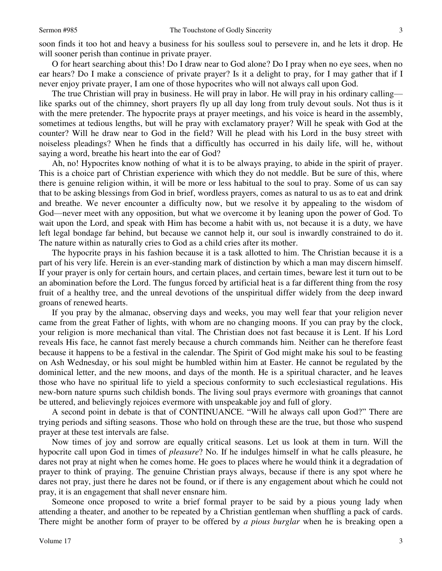soon finds it too hot and heavy a business for his soulless soul to persevere in, and he lets it drop. He will sooner perish than continue in private prayer.

O for heart searching about this! Do I draw near to God alone? Do I pray when no eye sees, when no ear hears? Do I make a conscience of private prayer? Is it a delight to pray, for I may gather that if I never enjoy private prayer, I am one of those hypocrites who will not always call upon God.

The true Christian will pray in business. He will pray in labor. He will pray in his ordinary calling like sparks out of the chimney, short prayers fly up all day long from truly devout souls. Not thus is it with the mere pretender. The hypocrite prays at prayer meetings, and his voice is heard in the assembly, sometimes at tedious lengths, but will he pray with exclamatory prayer? Will he speak with God at the counter? Will he draw near to God in the field? Will he plead with his Lord in the busy street with noiseless pleadings? When he finds that a difficultly has occurred in his daily life, will he, without saying a word, breathe his heart into the ear of God?

Ah, no! Hypocrites know nothing of what it is to be always praying, to abide in the spirit of prayer. This is a choice part of Christian experience with which they do not meddle. But be sure of this, where there is genuine religion within, it will be more or less habitual to the soul to pray. Some of us can say that to be asking blessings from God in brief, wordless prayers, comes as natural to us as to eat and drink and breathe. We never encounter a difficulty now, but we resolve it by appealing to the wisdom of God—never meet with any opposition, but what we overcome it by leaning upon the power of God. To wait upon the Lord, and speak with Him has become a habit with us, not because it is a duty, we have left legal bondage far behind, but because we cannot help it, our soul is inwardly constrained to do it. The nature within as naturally cries to God as a child cries after its mother.

The hypocrite prays in his fashion because it is a task allotted to him. The Christian because it is a part of his very life. Herein is an ever-standing mark of distinction by which a man may discern himself. If your prayer is only for certain hours, and certain places, and certain times, beware lest it turn out to be an abomination before the Lord. The fungus forced by artificial heat is a far different thing from the rosy fruit of a healthy tree, and the unreal devotions of the unspiritual differ widely from the deep inward groans of renewed hearts.

If you pray by the almanac, observing days and weeks, you may well fear that your religion never came from the great Father of lights, with whom are no changing moons. If you can pray by the clock, your religion is more mechanical than vital. The Christian does not fast because it is Lent. If his Lord reveals His face, he cannot fast merely because a church commands him. Neither can he therefore feast because it happens to be a festival in the calendar. The Spirit of God might make his soul to be feasting on Ash Wednesday, or his soul might be humbled within him at Easter. He cannot be regulated by the dominical letter, and the new moons, and days of the month. He is a spiritual character, and he leaves those who have no spiritual life to yield a specious conformity to such ecclesiastical regulations. His new-born nature spurns such childish bonds. The living soul prays evermore with groanings that cannot be uttered, and believingly rejoices evermore with unspeakable joy and full of glory.

A second point in debate is that of CONTINUANCE. "Will he always call upon God?" There are trying periods and sifting seasons. Those who hold on through these are the true, but those who suspend prayer at these test intervals are false.

Now times of joy and sorrow are equally critical seasons. Let us look at them in turn. Will the hypocrite call upon God in times of *pleasure*? No. If he indulges himself in what he calls pleasure, he dares not pray at night when he comes home. He goes to places where he would think it a degradation of prayer to think of praying. The genuine Christian prays always, because if there is any spot where he dares not pray, just there he dares not be found, or if there is any engagement about which he could not pray, it is an engagement that shall never ensnare him.

Someone once proposed to write a brief formal prayer to be said by a pious young lady when attending a theater, and another to be repeated by a Christian gentleman when shuffling a pack of cards. There might be another form of prayer to be offered by *a pious burglar* when he is breaking open a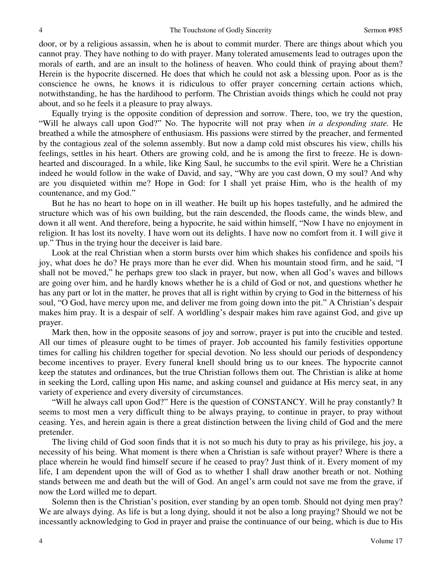door, or by a religious assassin, when he is about to commit murder. There are things about which you cannot pray. They have nothing to do with prayer. Many tolerated amusements lead to outrages upon the morals of earth, and are an insult to the holiness of heaven. Who could think of praying about them? Herein is the hypocrite discerned. He does that which he could not ask a blessing upon. Poor as is the conscience he owns, he knows it is ridiculous to offer prayer concerning certain actions which, notwithstanding, he has the hardihood to perform. The Christian avoids things which he could not pray about, and so he feels it a pleasure to pray always.

Equally trying is the opposite condition of depression and sorrow. There, too, we try the question, "Will he always call upon God?" No. The hypocrite will not pray when *in a desponding state.* He breathed a while the atmosphere of enthusiasm. His passions were stirred by the preacher, and fermented by the contagious zeal of the solemn assembly. But now a damp cold mist obscures his view, chills his feelings, settles in his heart. Others are growing cold, and he is among the first to freeze. He is downhearted and discouraged. In a while, like King Saul, he succumbs to the evil spirit. Were he a Christian indeed he would follow in the wake of David, and say, "Why are you cast down, O my soul? And why are you disquieted within me? Hope in God: for I shall yet praise Him, who is the health of my countenance, and my God."

But he has no heart to hope on in ill weather. He built up his hopes tastefully, and he admired the structure which was of his own building, but the rain descended, the floods came, the winds blew, and down it all went. And therefore, being a hypocrite, he said within himself, "Now I have no enjoyment in religion. It has lost its novelty. I have worn out its delights. I have now no comfort from it. I will give it up." Thus in the trying hour the deceiver is laid bare.

Look at the real Christian when a storm bursts over him which shakes his confidence and spoils his joy, what does he do? He prays more than he ever did. When his mountain stood firm, and he said, "I shall not be moved," he perhaps grew too slack in prayer, but now, when all God's waves and billows are going over him, and he hardly knows whether he is a child of God or not, and questions whether he has any part or lot in the matter, he proves that all is right within by crying to God in the bitterness of his soul, "O God, have mercy upon me, and deliver me from going down into the pit." A Christian's despair makes him pray. It is a despair of self. A worldling's despair makes him rave against God, and give up prayer.

Mark then, how in the opposite seasons of joy and sorrow, prayer is put into the crucible and tested. All our times of pleasure ought to be times of prayer. Job accounted his family festivities opportune times for calling his children together for special devotion. No less should our periods of despondency become incentives to prayer. Every funeral knell should bring us to our knees. The hypocrite cannot keep the statutes and ordinances, but the true Christian follows them out. The Christian is alike at home in seeking the Lord, calling upon His name, and asking counsel and guidance at His mercy seat, in any variety of experience and every diversity of circumstances.

"Will he always call upon God?" Here is the question of CONSTANCY. Will he pray constantly? It seems to most men a very difficult thing to be always praying, to continue in prayer, to pray without ceasing. Yes, and herein again is there a great distinction between the living child of God and the mere pretender.

The living child of God soon finds that it is not so much his duty to pray as his privilege, his joy, a necessity of his being. What moment is there when a Christian is safe without prayer? Where is there a place wherein he would find himself secure if he ceased to pray? Just think of it. Every moment of my life, I am dependent upon the will of God as to whether I shall draw another breath or not. Nothing stands between me and death but the will of God. An angel's arm could not save me from the grave, if now the Lord willed me to depart.

Solemn then is the Christian's position, ever standing by an open tomb. Should not dying men pray? We are always dying. As life is but a long dying, should it not be also a long praying? Should we not be incessantly acknowledging to God in prayer and praise the continuance of our being, which is due to His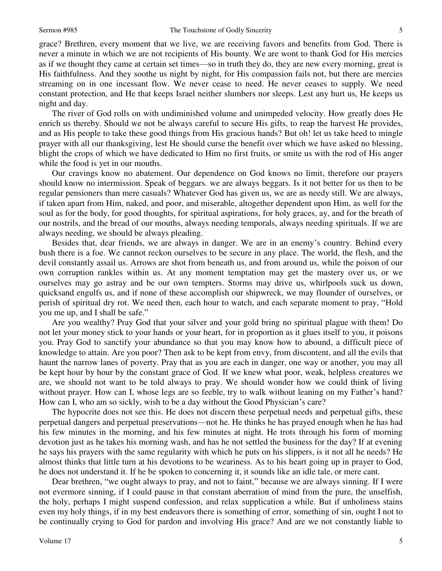5

grace? Brethren, every moment that we live, we are receiving favors and benefits from God. There is never a minute in which we are not recipients of His bounty. We are wont to thank God for His mercies as if we thought they came at certain set times—so in truth they do, they are new every morning, great is His faithfulness. And they soothe us night by night, for His compassion fails not, but there are mercies streaming on in one incessant flow. We never cease to need. He never ceases to supply. We need constant protection, and He that keeps Israel neither slumbers nor sleeps. Lest any hurt us, He keeps us night and day.

The river of God rolls on with undiminished volume and unimpeded velocity. How greatly does He enrich us thereby. Should we not be always careful to secure His gifts, to reap the harvest He provides, and as His people to take these good things from His gracious hands? But oh! let us take heed to mingle prayer with all our thanksgiving, lest He should curse the benefit over which we have asked no blessing, blight the crops of which we have dedicated to Him no first fruits, or smite us with the rod of His anger while the food is yet in our mouths.

Our cravings know no abatement. Our dependence on God knows no limit, therefore our prayers should know no intermission. Speak of beggars. we are always beggars. Is it not better for us then to be regular pensioners than mere casuals? Whatever God has given us, we are as needy still. We are always, if taken apart from Him, naked, and poor, and miserable, altogether dependent upon Him, as well for the soul as for the body, for good thoughts, for spiritual aspirations, for holy graces, ay, and for the breath of our nostrils, and the bread of our mouths, always needing temporals, always needing spirituals. If we are always needing, we should be always pleading.

Besides that, dear friends, we are always in danger. We are in an enemy's country. Behind every bush there is a foe. We cannot reckon ourselves to be secure in any place. The world, the flesh, and the devil constantly assail us. Arrows are shot from beneath us, and from around us, while the poison of our own corruption rankles within us. At any moment temptation may get the mastery over us, or we ourselves may go astray and be our own tempters. Storms may drive us, whirlpools suck us down, quicksand engulfs us, and if none of these accomplish our shipwreck, we may flounder of ourselves, or perish of spiritual dry rot. We need then, each hour to watch, and each separate moment to pray, "Hold you me up, and I shall be safe."

Are you wealthy? Pray God that your silver and your gold bring no spiritual plague with them! Do not let your money stick to your hands or your heart, for in proportion as it glues itself to you, it poisons you. Pray God to sanctify your abundance so that you may know how to abound, a difficult piece of knowledge to attain. Are you poor? Then ask to be kept from envy, from discontent, and all the evils that haunt the narrow lanes of poverty. Pray that as you are each in danger, one way or another, you may all be kept hour by hour by the constant grace of God. If we knew what poor, weak, helpless creatures we are, we should not want to be told always to pray. We should wonder how we could think of living without prayer. How can I, whose legs are so feeble, try to walk without leaning on my Father's hand? How can I, who am so sickly, wish to be a day without the Good Physician's care?

The hypocrite does not see this. He does not discern these perpetual needs and perpetual gifts, these perpetual dangers and perpetual preservations—not he. He thinks he has prayed enough when he has had his few minutes in the morning, and his few minutes at night. He trots through his form of morning devotion just as he takes his morning wash, and has he not settled the business for the day? If at evening he says his prayers with the same regularity with which he puts on his slippers, is it not all he needs? He almost thinks that little turn at his devotions to be weariness. As to his heart going up in prayer to God, he does not understand it. If he be spoken to concerning it, it sounds like an idle tale, or mere cant.

Dear brethren, "we ought always to pray, and not to faint," because we are always sinning. If I were not evermore sinning, if I could pause in that constant aberration of mind from the pure, the unselfish, the holy, perhaps I might suspend confession, and relax supplication a while. But if unholiness stains even my holy things, if in my best endeavors there is something of error, something of sin, ought I not to be continually crying to God for pardon and involving His grace? And are we not constantly liable to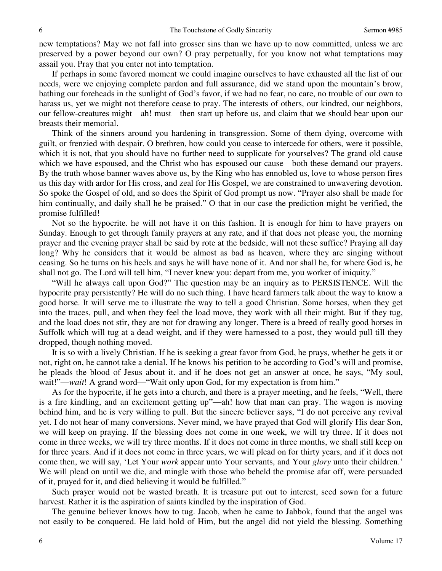new temptations? May we not fall into grosser sins than we have up to now committed, unless we are preserved by a power beyond our own? O pray perpetually, for you know not what temptations may assail you. Pray that you enter not into temptation.

If perhaps in some favored moment we could imagine ourselves to have exhausted all the list of our needs, were we enjoying complete pardon and full assurance, did we stand upon the mountain's brow, bathing our foreheads in the sunlight of God's favor, if we had no fear, no care, no trouble of our own to harass us, yet we might not therefore cease to pray. The interests of others, our kindred, our neighbors, our fellow-creatures might—ah! must—then start up before us, and claim that we should bear upon our breasts their memorial.

Think of the sinners around you hardening in transgression. Some of them dying, overcome with guilt, or frenzied with despair. O brethren, how could you cease to intercede for others, were it possible, which it is not, that you should have no further need to supplicate for yourselves? The grand old cause which we have espoused, and the Christ who has espoused our cause—both these demand our prayers. By the truth whose banner waves above us, by the King who has ennobled us, love to whose person fires us this day with ardor for His cross, and zeal for His Gospel, we are constrained to unwavering devotion. So spoke the Gospel of old, and so does the Spirit of God prompt us now. "Prayer also shall be made for him continually, and daily shall he be praised." O that in our case the prediction might be verified, the promise fulfilled!

Not so the hypocrite. he will not have it on this fashion. It is enough for him to have prayers on Sunday. Enough to get through family prayers at any rate, and if that does not please you, the morning prayer and the evening prayer shall be said by rote at the bedside, will not these suffice? Praying all day long? Why he considers that it would be almost as bad as heaven, where they are singing without ceasing. So he turns on his heels and says he will have none of it. And nor shall he, for where God is, he shall not go. The Lord will tell him, "I never knew you: depart from me, you worker of iniquity."

"Will he always call upon God?" The question may be an inquiry as to PERSISTENCE. Will the hypocrite pray persistently? He will do no such thing. I have heard farmers talk about the way to know a good horse. It will serve me to illustrate the way to tell a good Christian. Some horses, when they get into the traces, pull, and when they feel the load move, they work with all their might. But if they tug, and the load does not stir, they are not for drawing any longer. There is a breed of really good horses in Suffolk which will tug at a dead weight, and if they were harnessed to a post, they would pull till they dropped, though nothing moved.

It is so with a lively Christian. If he is seeking a great favor from God, he prays, whether he gets it or not, right on, he cannot take a denial. If he knows his petition to be according to God's will and promise, he pleads the blood of Jesus about it. and if he does not get an answer at once, he says, "My soul, wait!"—*wait*! A grand word—"Wait only upon God, for my expectation is from him."

As for the hypocrite, if he gets into a church, and there is a prayer meeting, and he feels, "Well, there is a fire kindling, and an excitement getting up"—ah! how that man can pray. The wagon is moving behind him, and he is very willing to pull. But the sincere believer says, "I do not perceive any revival yet. I do not hear of many conversions. Never mind, we have prayed that God will glorify His dear Son, we will keep on praying. If the blessing does not come in one week, we will try three. If it does not come in three weeks, we will try three months. If it does not come in three months, we shall still keep on for three years. And if it does not come in three years, we will plead on for thirty years, and if it does not come then, we will say, 'Let Your *work* appear unto Your servants, and Your *glory* unto their children.' We will plead on until we die, and mingle with those who beheld the promise afar off, were persuaded of it, prayed for it, and died believing it would be fulfilled."

Such prayer would not be wasted breath. It is treasure put out to interest, seed sown for a future harvest. Rather it is the aspiration of saints kindled by the inspiration of God.

The genuine believer knows how to tug. Jacob, when he came to Jabbok, found that the angel was not easily to be conquered. He laid hold of Him, but the angel did not yield the blessing. Something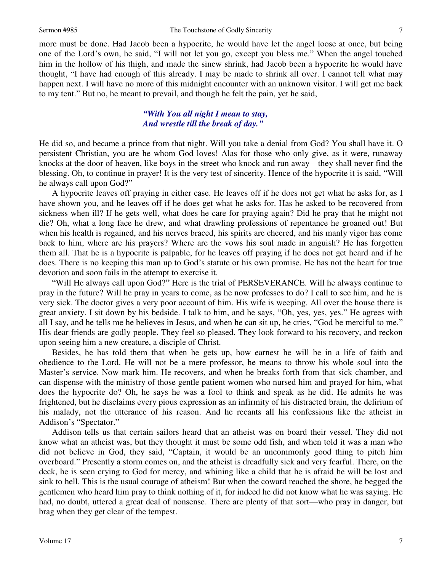more must be done. Had Jacob been a hypocrite, he would have let the angel loose at once, but being one of the Lord's own, he said, "I will not let you go, except you bless me." When the angel touched him in the hollow of his thigh, and made the sinew shrink, had Jacob been a hypocrite he would have thought, "I have had enough of this already. I may be made to shrink all over. I cannot tell what may happen next. I will have no more of this midnight encounter with an unknown visitor. I will get me back to my tent." But no, he meant to prevail, and though he felt the pain, yet he said,

### *"With You all night I mean to stay, And wrestle till the break of day."*

He did so, and became a prince from that night. Will you take a denial from God? You shall have it. O persistent Christian, you are he whom God loves! Alas for those who only give, as it were, runaway knocks at the door of heaven, like boys in the street who knock and run away—they shall never find the blessing. Oh, to continue in prayer! It is the very test of sincerity. Hence of the hypocrite it is said, "Will he always call upon God?"

A hypocrite leaves off praying in either case. He leaves off if he does not get what he asks for, as I have shown you, and he leaves off if he does get what he asks for. Has he asked to be recovered from sickness when ill? If he gets well, what does he care for praying again? Did he pray that he might not die? Oh, what a long face he drew, and what drawling professions of repentance he groaned out! But when his health is regained, and his nerves braced, his spirits are cheered, and his manly vigor has come back to him, where are his prayers? Where are the vows his soul made in anguish? He has forgotten them all. That he is a hypocrite is palpable, for he leaves off praying if he does not get heard and if he does. There is no keeping this man up to God's statute or his own promise. He has not the heart for true devotion and soon fails in the attempt to exercise it.

"Will He always call upon God?" Here is the trial of PERSEVERANCE. Will he always continue to pray in the future? Will he pray in years to come, as he now professes to do? I call to see him, and he is very sick. The doctor gives a very poor account of him. His wife is weeping. All over the house there is great anxiety. I sit down by his bedside. I talk to him, and he says, "Oh, yes, yes, yes." He agrees with all I say, and he tells me he believes in Jesus, and when he can sit up, he cries, "God be merciful to me." His dear friends are godly people. They feel so pleased. They look forward to his recovery, and reckon upon seeing him a new creature, a disciple of Christ.

Besides, he has told them that when he gets up, how earnest he will be in a life of faith and obedience to the Lord. He will not be a mere professor, he means to throw his whole soul into the Master's service. Now mark him. He recovers, and when he breaks forth from that sick chamber, and can dispense with the ministry of those gentle patient women who nursed him and prayed for him, what does the hypocrite do? Oh, he says he was a fool to think and speak as he did. He admits he was frightened, but he disclaims every pious expression as an infirmity of his distracted brain, the delirium of his malady, not the utterance of his reason. And he recants all his confessions like the atheist in Addison's "Spectator."

Addison tells us that certain sailors heard that an atheist was on board their vessel. They did not know what an atheist was, but they thought it must be some odd fish, and when told it was a man who did not believe in God, they said, "Captain, it would be an uncommonly good thing to pitch him overboard." Presently a storm comes on, and the atheist is dreadfully sick and very fearful. There, on the deck, he is seen crying to God for mercy, and whining like a child that he is afraid he will be lost and sink to hell. This is the usual courage of atheism! But when the coward reached the shore, he begged the gentlemen who heard him pray to think nothing of it, for indeed he did not know what he was saying. He had, no doubt, uttered a great deal of nonsense. There are plenty of that sort—who pray in danger, but brag when they get clear of the tempest.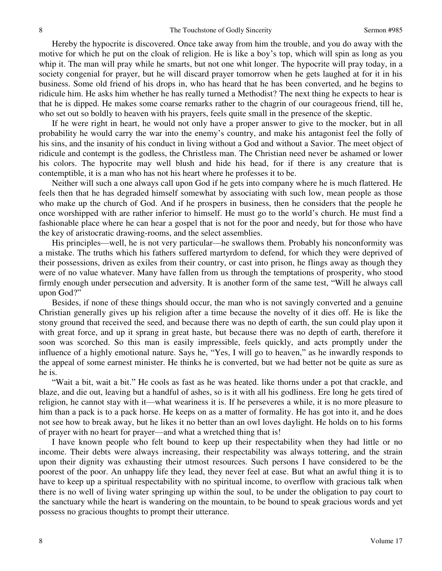Hereby the hypocrite is discovered. Once take away from him the trouble, and you do away with the motive for which he put on the cloak of religion. He is like a boy's top, which will spin as long as you whip it. The man will pray while he smarts, but not one whit longer. The hypocrite will pray today, in a society congenial for prayer, but he will discard prayer tomorrow when he gets laughed at for it in his business. Some old friend of his drops in, who has heard that he has been converted, and he begins to ridicule him. He asks him whether he has really turned a Methodist? The next thing he expects to hear is that he is dipped. He makes some coarse remarks rather to the chagrin of our courageous friend, till he, who set out so boldly to heaven with his prayers, feels quite small in the presence of the skeptic.

If he were right in heart, he would not only have a proper answer to give to the mocker, but in all probability he would carry the war into the enemy's country, and make his antagonist feel the folly of his sins, and the insanity of his conduct in living without a God and without a Savior. The meet object of ridicule and contempt is the godless, the Christless man. The Christian need never be ashamed or lower his colors. The hypocrite may well blush and hide his head, for if there is any creature that is contemptible, it is a man who has not his heart where he professes it to be.

Neither will such a one always call upon God if he gets into company where he is much flattered. He feels then that he has degraded himself somewhat by associating with such low, mean people as those who make up the church of God. And if he prospers in business, then he considers that the people he once worshipped with are rather inferior to himself. He must go to the world's church. He must find a fashionable place where he can hear a gospel that is not for the poor and needy, but for those who have the key of aristocratic drawing-rooms, and the select assemblies.

His principles—well, he is not very particular—he swallows them. Probably his nonconformity was a mistake. The truths which his fathers suffered martyrdom to defend, for which they were deprived of their possessions, driven as exiles from their country, or cast into prison, he flings away as though they were of no value whatever. Many have fallen from us through the temptations of prosperity, who stood firmly enough under persecution and adversity. It is another form of the same test, "Will he always call upon God?"

Besides, if none of these things should occur, the man who is not savingly converted and a genuine Christian generally gives up his religion after a time because the novelty of it dies off. He is like the stony ground that received the seed, and because there was no depth of earth, the sun could play upon it with great force, and up it sprang in great haste, but because there was no depth of earth, therefore it soon was scorched. So this man is easily impressible, feels quickly, and acts promptly under the influence of a highly emotional nature. Says he, "Yes, I will go to heaven," as he inwardly responds to the appeal of some earnest minister. He thinks he is converted, but we had better not be quite as sure as he is.

"Wait a bit, wait a bit." He cools as fast as he was heated. like thorns under a pot that crackle, and blaze, and die out, leaving but a handful of ashes, so is it with all his godliness. Ere long he gets tired of religion, he cannot stay with it—what weariness it is. If he perseveres a while, it is no more pleasure to him than a pack is to a pack horse. He keeps on as a matter of formality. He has got into it, and he does not see how to break away, but he likes it no better than an owl loves daylight. He holds on to his forms of prayer with no heart for prayer—and what a wretched thing that is!

I have known people who felt bound to keep up their respectability when they had little or no income. Their debts were always increasing, their respectability was always tottering, and the strain upon their dignity was exhausting their utmost resources. Such persons I have considered to be the poorest of the poor. An unhappy life they lead, they never feel at ease. But what an awful thing it is to have to keep up a spiritual respectability with no spiritual income, to overflow with gracious talk when there is no well of living water springing up within the soul, to be under the obligation to pay court to the sanctuary while the heart is wandering on the mountain, to be bound to speak gracious words and yet possess no gracious thoughts to prompt their utterance.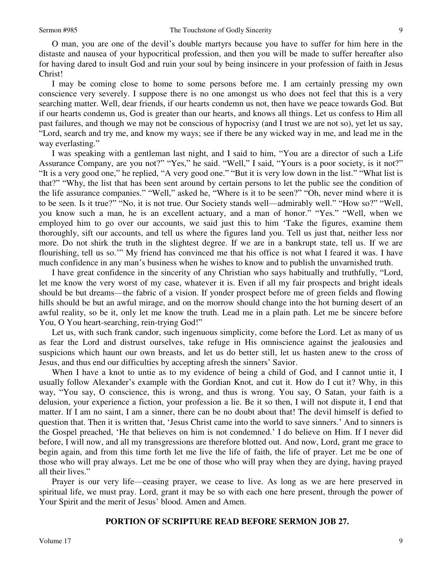O man, you are one of the devil's double martyrs because you have to suffer for him here in the distaste and nausea of your hypocritical profession, and then you will be made to suffer hereafter also for having dared to insult God and ruin your soul by being insincere in your profession of faith in Jesus Christ!

I may be coming close to home to some persons before me. I am certainly pressing my own conscience very severely. I suppose there is no one amongst us who does not feel that this is a very searching matter. Well, dear friends, if our hearts condemn us not, then have we peace towards God. But if our hearts condemn us, God is greater than our hearts, and knows all things. Let us confess to Him all past failures, and though we may not be conscious of hypocrisy (and I trust we are not so), yet let us say, "Lord, search and try me, and know my ways; see if there be any wicked way in me, and lead me in the way everlasting."

I was speaking with a gentleman last night, and I said to him, "You are a director of such a Life Assurance Company, are you not?" "Yes," he said. "Well," I said, "Yours is a poor society, is it not?" "It is a very good one," he replied, "A very good one." "But it is very low down in the list." "What list is that?" "Why, the list that has been sent around by certain persons to let the public see the condition of the life assurance companies." "Well," asked he, "Where is it to be seen?" "Oh, never mind where it is to be seen. Is it true?" "No, it is not true. Our Society stands well—admirably well." "How so?" "Well, you know such a man, he is an excellent actuary, and a man of honor." "Yes." "Well, when we employed him to go over our accounts, we said just this to him 'Take the figures, examine them thoroughly, sift our accounts, and tell us where the figures land you. Tell us just that, neither less nor more. Do not shirk the truth in the slightest degree. If we are in a bankrupt state, tell us. If we are flourishing, tell us so.'" My friend has convinced me that his office is not what I feared it was. I have much confidence in any man's business when he wishes to know and to publish the unvarnished truth.

I have great confidence in the sincerity of any Christian who says habitually and truthfully, "Lord, let me know the very worst of my case, whatever it is. Even if all my fair prospects and bright ideals should be but dreams—the fabric of a vision. If yonder prospect before me of green fields and flowing hills should be but an awful mirage, and on the morrow should change into the hot burning desert of an awful reality, so be it, only let me know the truth. Lead me in a plain path. Let me be sincere before You, O You heart-searching, rein-trying God!"

Let us, with such frank candor, such ingenuous simplicity, come before the Lord. Let as many of us as fear the Lord and distrust ourselves, take refuge in His omniscience against the jealousies and suspicions which haunt our own breasts, and let us do better still, let us hasten anew to the cross of Jesus, and thus end our difficulties by accepting afresh the sinners' Savior.

When I have a knot to untie as to my evidence of being a child of God, and I cannot untie it, I usually follow Alexander's example with the Gordian Knot, and cut it. How do I cut it? Why, in this way, "You say, O conscience, this is wrong, and thus is wrong. You say, O Satan, your faith is a delusion, your experience a fiction, your profession a lie. Be it so then, I will not dispute it, I end that matter. If I am no saint, I am a sinner, there can be no doubt about that! The devil himself is defied to question that. Then it is written that, 'Jesus Christ came into the world to save sinners.' And to sinners is the Gospel preached, 'He that believes on him is not condemned.' I do believe on Him. If I never did before, I will now, and all my transgressions are therefore blotted out. And now, Lord, grant me grace to begin again, and from this time forth let me live the life of faith, the life of prayer. Let me be one of those who will pray always. Let me be one of those who will pray when they are dying, having prayed all their lives."

Prayer is our very life—ceasing prayer, we cease to live. As long as we are here preserved in spiritual life, we must pray. Lord, grant it may be so with each one here present, through the power of Your Spirit and the merit of Jesus' blood. Amen and Amen.

### **PORTION OF SCRIPTURE READ BEFORE SERMON JOB 27.**